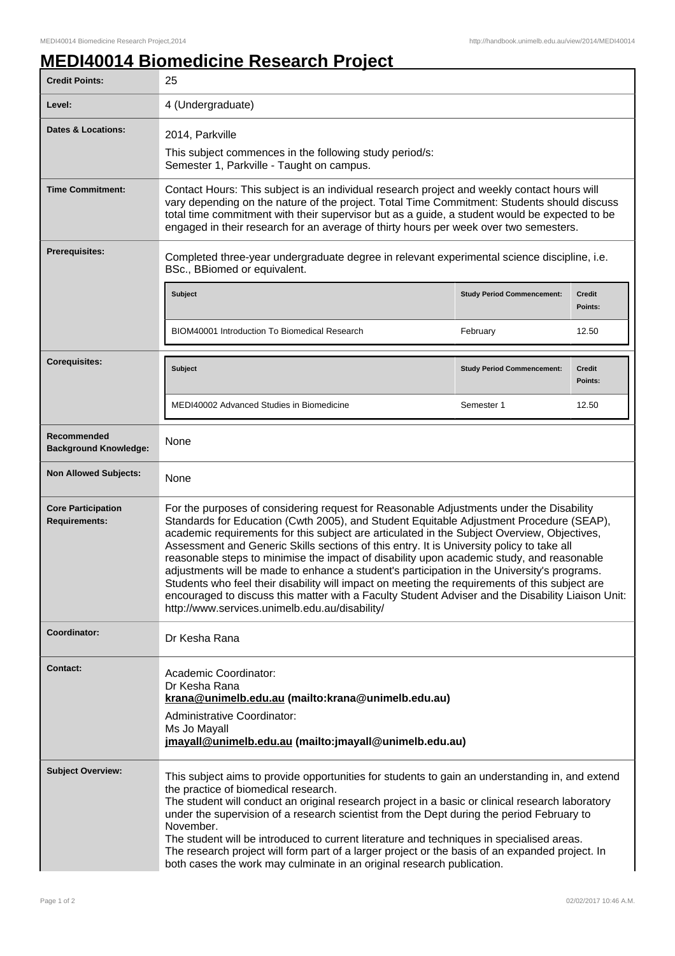## **MEDI40014 Biomedicine Research Project**

| <b>Credit Points:</b>                             | 25                                                                                                                                                                                                                                                                                                                                                                                                                                                                                                                                                                                                                                                                                                                                                                                                                                  |                                   |                          |
|---------------------------------------------------|-------------------------------------------------------------------------------------------------------------------------------------------------------------------------------------------------------------------------------------------------------------------------------------------------------------------------------------------------------------------------------------------------------------------------------------------------------------------------------------------------------------------------------------------------------------------------------------------------------------------------------------------------------------------------------------------------------------------------------------------------------------------------------------------------------------------------------------|-----------------------------------|--------------------------|
| Level:                                            | 4 (Undergraduate)                                                                                                                                                                                                                                                                                                                                                                                                                                                                                                                                                                                                                                                                                                                                                                                                                   |                                   |                          |
| <b>Dates &amp; Locations:</b>                     | 2014, Parkville<br>This subject commences in the following study period/s:<br>Semester 1, Parkville - Taught on campus.                                                                                                                                                                                                                                                                                                                                                                                                                                                                                                                                                                                                                                                                                                             |                                   |                          |
| <b>Time Commitment:</b>                           | Contact Hours: This subject is an individual research project and weekly contact hours will<br>vary depending on the nature of the project. Total Time Commitment: Students should discuss<br>total time commitment with their supervisor but as a guide, a student would be expected to be<br>engaged in their research for an average of thirty hours per week over two semesters.                                                                                                                                                                                                                                                                                                                                                                                                                                                |                                   |                          |
| <b>Prerequisites:</b>                             | Completed three-year undergraduate degree in relevant experimental science discipline, i.e.<br>BSc., BBiomed or equivalent.                                                                                                                                                                                                                                                                                                                                                                                                                                                                                                                                                                                                                                                                                                         |                                   |                          |
|                                                   | Subject                                                                                                                                                                                                                                                                                                                                                                                                                                                                                                                                                                                                                                                                                                                                                                                                                             | <b>Study Period Commencement:</b> | <b>Credit</b><br>Points: |
|                                                   | <b>BIOM40001 Introduction To Biomedical Research</b>                                                                                                                                                                                                                                                                                                                                                                                                                                                                                                                                                                                                                                                                                                                                                                                | February                          | 12.50                    |
| <b>Corequisites:</b>                              | <b>Subject</b>                                                                                                                                                                                                                                                                                                                                                                                                                                                                                                                                                                                                                                                                                                                                                                                                                      | <b>Study Period Commencement:</b> | <b>Credit</b><br>Points: |
|                                                   | MEDI40002 Advanced Studies in Biomedicine                                                                                                                                                                                                                                                                                                                                                                                                                                                                                                                                                                                                                                                                                                                                                                                           | Semester 1                        | 12.50                    |
| Recommended<br><b>Background Knowledge:</b>       | None                                                                                                                                                                                                                                                                                                                                                                                                                                                                                                                                                                                                                                                                                                                                                                                                                                |                                   |                          |
| <b>Non Allowed Subjects:</b>                      | None                                                                                                                                                                                                                                                                                                                                                                                                                                                                                                                                                                                                                                                                                                                                                                                                                                |                                   |                          |
| <b>Core Participation</b><br><b>Requirements:</b> | For the purposes of considering request for Reasonable Adjustments under the Disability<br>Standards for Education (Cwth 2005), and Student Equitable Adjustment Procedure (SEAP),<br>academic requirements for this subject are articulated in the Subject Overview, Objectives,<br>Assessment and Generic Skills sections of this entry. It is University policy to take all<br>reasonable steps to minimise the impact of disability upon academic study, and reasonable<br>adjustments will be made to enhance a student's participation in the University's programs.<br>Students who feel their disability will impact on meeting the requirements of this subject are<br>encouraged to discuss this matter with a Faculty Student Adviser and the Disability Liaison Unit:<br>http://www.services.unimelb.edu.au/disability/ |                                   |                          |
| Coordinator:                                      | Dr Kesha Rana                                                                                                                                                                                                                                                                                                                                                                                                                                                                                                                                                                                                                                                                                                                                                                                                                       |                                   |                          |
| <b>Contact:</b>                                   | Academic Coordinator:<br>Dr Kesha Rana<br>krana@unimelb.edu.au (mailto:krana@unimelb.edu.au)<br>Administrative Coordinator:<br>Ms Jo Mayall<br>jmayall@unimelb.edu.au (mailto: jmayall@unimelb.edu.au)                                                                                                                                                                                                                                                                                                                                                                                                                                                                                                                                                                                                                              |                                   |                          |
| <b>Subject Overview:</b>                          | This subject aims to provide opportunities for students to gain an understanding in, and extend<br>the practice of biomedical research.<br>The student will conduct an original research project in a basic or clinical research laboratory<br>under the supervision of a research scientist from the Dept during the period February to<br>November.<br>The student will be introduced to current literature and techniques in specialised areas.<br>The research project will form part of a larger project or the basis of an expanded project. In<br>both cases the work may culminate in an original research publication.                                                                                                                                                                                                     |                                   |                          |